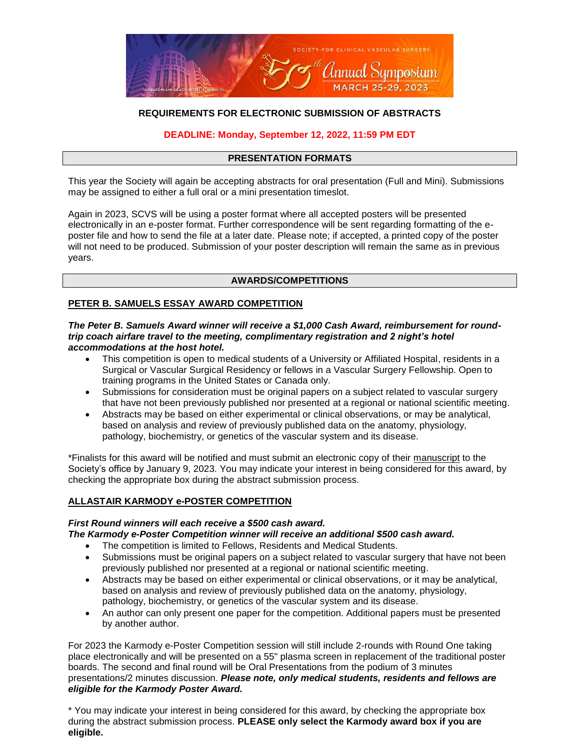

# **REQUIREMENTS FOR ELECTRONIC SUBMISSION OF ABSTRACTS**

# **DEADLINE: Monday, September 12, 2022, 11:59 PM EDT**

# **PRESENTATION FORMATS**

This year the Society will again be accepting abstracts for oral presentation (Full and Mini). Submissions may be assigned to either a full oral or a mini presentation timeslot.

Again in 2023, SCVS will be using a poster format where all accepted posters will be presented electronically in an e-poster format. Further correspondence will be sent regarding formatting of the eposter file and how to send the file at a later date. Please note; if accepted, a printed copy of the poster will not need to be produced. Submission of your poster description will remain the same as in previous years.

### **AWARDS/COMPETITIONS**

## **PETER B. SAMUELS ESSAY AWARD COMPETITION**

#### *The Peter B. Samuels Award winner will receive a \$1,000 Cash Award, reimbursement for roundtrip coach airfare travel to the meeting, complimentary registration and 2 night's hotel accommodations at the host hotel.*

- This competition is open to medical students of a University or Affiliated Hospital, residents in a Surgical or Vascular Surgical Residency or fellows in a Vascular Surgery Fellowship. Open to training programs in the United States or Canada only.
- Submissions for consideration must be original papers on a subject related to vascular surgery that have not been previously published nor presented at a regional or national scientific meeting.
- Abstracts may be based on either experimental or clinical observations, or may be analytical, based on analysis and review of previously published data on the anatomy, physiology, pathology, biochemistry, or genetics of the vascular system and its disease.

\*Finalists for this award will be notified and must submit an electronic copy of their manuscript to the Society's office by January 9, 2023. You may indicate your interest in being considered for this award, by checking the appropriate box during the abstract submission process.

### **ALLASTAIR KARMODY e-POSTER COMPETITION**

### *First Round winners will each receive a \$500 cash award.*

*The Karmody e-Poster Competition winner will receive an additional \$500 cash award.* 

- The competition is limited to Fellows, Residents and Medical Students.
- Submissions must be original papers on a subject related to vascular surgery that have not been previously published nor presented at a regional or national scientific meeting.
- Abstracts may be based on either experimental or clinical observations, or it may be analytical, based on analysis and review of previously published data on the anatomy, physiology, pathology, biochemistry, or genetics of the vascular system and its disease.
- An author can only present one paper for the competition. Additional papers must be presented by another author.

For 2023 the Karmody e-Poster Competition session will still include 2-rounds with Round One taking place electronically and will be presented on a 55" plasma screen in replacement of the traditional poster boards. The second and final round will be Oral Presentations from the podium of 3 minutes presentations/2 minutes discussion. *Please note, only medical students, residents and fellows are eligible for the Karmody Poster Award.*

\* You may indicate your interest in being considered for this award, by checking the appropriate box during the abstract submission process. **PLEASE only select the Karmody award box if you are eligible.**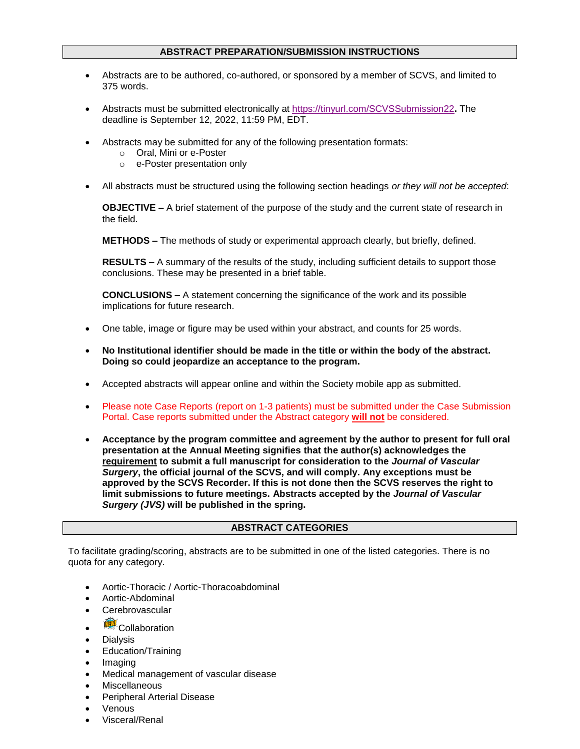## **ABSTRACT PREPARATION/SUBMISSION INSTRUCTIONS**

- Abstracts are to be authored, co-authored, or sponsored by a member of SCVS, and limited to 375 words.
- Abstracts must be submitted electronically at<https://tinyurl.com/SCVSSubmission22>**.** The deadline is September 12, 2022, 11:59 PM, EDT.
- Abstracts may be submitted for any of the following presentation formats:
	- o Oral, Mini or e-Poster
	- o e-Poster presentation only
- All abstracts must be structured using the following section headings *or they will not be accepted*:

**OBJECTIVE –** A brief statement of the purpose of the study and the current state of research in the field.

**METHODS –** The methods of study or experimental approach clearly, but briefly, defined.

**RESULTS –** A summary of the results of the study, including sufficient details to support those conclusions. These may be presented in a brief table.

**CONCLUSIONS –** A statement concerning the significance of the work and its possible implications for future research.

- One table, image or figure may be used within your abstract, and counts for 25 words.
- **No Institutional identifier should be made in the title or within the body of the abstract. Doing so could jeopardize an acceptance to the program.**
- Accepted abstracts will appear online and within the Society mobile app as submitted.
- Please note Case Reports (report on 1-3 patients) must be submitted under the Case Submission Portal. Case reports submitted under the Abstract category **will not** be considered.
- **Acceptance by the program committee and agreement by the author to present for full oral presentation at the Annual Meeting signifies that the author(s) acknowledges the requirement to submit a full manuscript for consideration to the** *Journal of Vascular Surgery***, the official journal of the SCVS, and will comply. Any exceptions must be approved by the SCVS Recorder. If this is not done then the SCVS reserves the right to limit submissions to future meetings. Abstracts accepted by the** *Journal of Vascular Surgery (JVS)* **will be published in the spring.**

# **ABSTRACT CATEGORIES**

To facilitate grading/scoring, abstracts are to be submitted in one of the listed categories. There is no quota for any category.

- Aortic-Thoracic / Aortic-Thoracoabdominal
- Aortic-Abdominal
- **Cerebrovascular**
- Collaboration
- Dialysis
- Education/Training
- Imaging
- Medical management of vascular disease
- Miscellaneous
- Peripheral Arterial Disease
- Venous
- Visceral/Renal